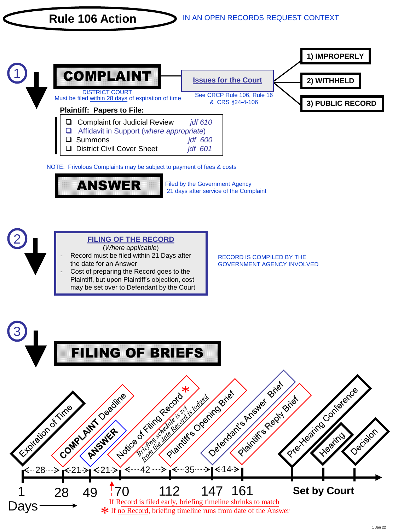



Filed by the Government Agency 21 days after service of the Complaint



**FILING OF THE RECORD** 

(*Where applicable*)

- Record must be filed within 21 Days after the date for an Answer
- Cost of preparing the Record goes to the Plaintiff, but upon Plaintiff's objection, cost may be set over to Defendant by the Court

RECORD IS COMPILED BY THE GOVERNMENT AGENCY INVOLVED

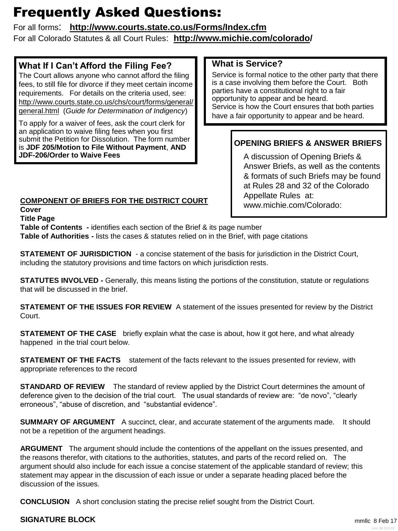# Frequently Asked Questions:

# For all forms: **http://www.courts.state.co.us/Forms/Index.cfm**

For all Colorado Statutes & all Court Rules: **http://www.michie.com/colorado/**

# **What If I Can't Afford the Filing Fee?**

The Court allows anyone who cannot afford the filing fees, to still file for divorce if they meet certain income requirements. For details on the criteria used, see: http://www.courts.state.co.us/chs/court/forms/general/ general.html (*Guide for Determination of Indigency*)

To apply for a waiver of fees, ask the court clerk for an application to waive filing fees when you first submit the Petition for Dissolution. The form number is **JDF 205/Motion to File Without Payment**, **AND JDF-206/Order to Waive Fees**

# **COMPONENT OF BRIEFS FOR THE DISTRICT COURT**

**Cover**

### **Title Page**

**Table of Contents -** identifies each section of the Brief & its page number

**Table of Authorities -** lists the cases & statutes relied on in the Brief, with page citations

**STATEMENT OF JURISDICTION** - a concise statement of the basis for jurisdiction in the District Court, including the statutory provisions and time factors on which jurisdiction rests.

**STATUTES INVOLVED -** Generally, this means listing the portions of the constitution, statute or regulations that will be discussed in the brief.

**STATEMENT OF THE ISSUES FOR REVIEW** A statement of the issues presented for review by the District Court.

**STATEMENT OF THE CASE** briefly explain what the case is about, how it got here, and what already happened in the trial court below.

**STATEMENT OF THE FACTS** statement of the facts relevant to the issues presented for review, with appropriate references to the record

**STANDARD OF REVIEW** The standard of review applied by the District Court determines the amount of deference given to the decision of the trial court. The usual standards of review are: "de novo", "clearly erroneous", "abuse of discretion, and "substantial evidence".

**SUMMARY OF ARGUMENT** A succinct, clear, and accurate statement of the arguments made. It should not be a repetition of the argument headings.

**ARGUMENT** The argument should include the contentions of the appellant on the issues presented, and the reasons therefor, with citations to the authorities, statutes, and parts of the record relied on. The argument should also include for each issue a concise statement of the applicable standard of review; this statement may appear in the discussion of each issue or under a separate heading placed before the discussion of the issues.

**CONCLUSION** A short conclusion stating the precise relief sought from the District Court.

# **SIGNATURE BLOCK**

# **What is Service?**

Service is formal notice to the other party that there is a case involving them before the Court. Both parties have a constitutional right to a fair opportunity to appear and be heard. Service is how the Court ensures that both parties have a fair opportunity to appear and be heard.

# **OPENING BRIEFS & ANSWER BRIEFS**

A discussion of Opening Briefs & Answer Briefs, as well as the contents & formats of such Briefs may be found at Rules 28 and 32 of the Colorado Appellate Rules at: www.michie.com/Colorado: